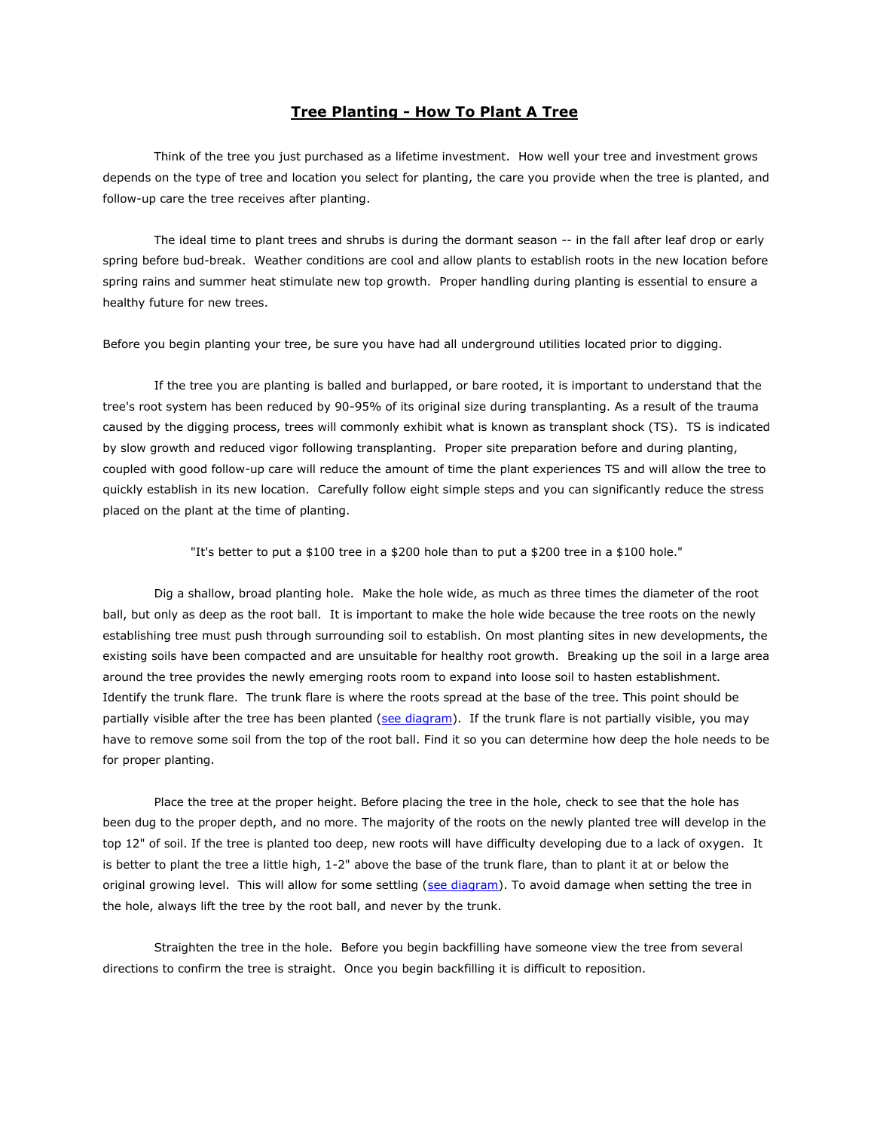# **Tree Planting - How To Plant A Tree**

Think of the tree you just purchased as a lifetime investment. How well your tree and investment grows depends on the type of tree and location you select for planting, the care you provide when the tree is planted, and follow-up care the tree receives after planting.

The ideal time to plant trees and shrubs is during the dormant season -- in the fall after leaf drop or early spring before bud-break. Weather conditions are cool and allow plants to establish roots in the new location before spring rains and summer heat stimulate new top growth. Proper handling during planting is essential to ensure a healthy future for new trees.

Before you begin planting your tree, be sure you have had all underground utilities located prior to digging.

If the tree you are planting is balled and burlapped, or bare rooted, it is important to understand that the tree's root system has been reduced by 90-95% of its original size during transplanting. As a result of the trauma caused by the digging process, trees will commonly exhibit what is known as transplant shock (TS). TS is indicated by slow growth and reduced vigor following transplanting. Proper site preparation before and during planting, coupled with good follow-up care will reduce the amount of time the plant experiences TS and will allow the tree to quickly establish in its new location. Carefully follow eight simple steps and you can significantly reduce the stress placed on the plant at the time of planting.

"It's better to put a \$100 tree in a \$200 hole than to put a \$200 tree in a \$100 hole."

Dig a shallow, broad planting hole. Make the hole wide, as much as three times the diameter of the root ball, but only as deep as the root ball. It is important to make the hole wide because the tree roots on the newly establishing tree must push through surrounding soil to establish. On most planting sites in new developments, the existing soils have been compacted and are unsuitable for healthy root growth. Breaking up the soil in a large area around the tree provides the newly emerging roots room to expand into loose soil to hasten establishment. Identify the trunk flare. The trunk flare is where the roots spread at the base of the tree. This point should be partially visible after the tree has been planted [\(see diagram\)](http://durhamnc.gov/ich/op/gs/PublishingImages/Planting.jpg). If the trunk flare is not partially visible, you may have to remove some soil from the top of the root ball. Find it so you can determine how deep the hole needs to be for proper planting.

Place the tree at the proper height. Before placing the tree in the hole, check to see that the hole has been dug to the proper depth, and no more. The majority of the roots on the newly planted tree will develop in the top 12" of soil. If the tree is planted too deep, new roots will have difficulty developing due to a lack of oxygen. It is better to plant the tree a little high, 1-2" above the base of the trunk flare, than to plant it at or below the original growing level. This will allow for some settling [\(see diagram\)](http://durhamnc.gov/ich/op/gs/PublishingImages/Planting.jpg). To avoid damage when setting the tree in the hole, always lift the tree by the root ball, and never by the trunk.

Straighten the tree in the hole. Before you begin backfilling have someone view the tree from several directions to confirm the tree is straight. Once you begin backfilling it is difficult to reposition.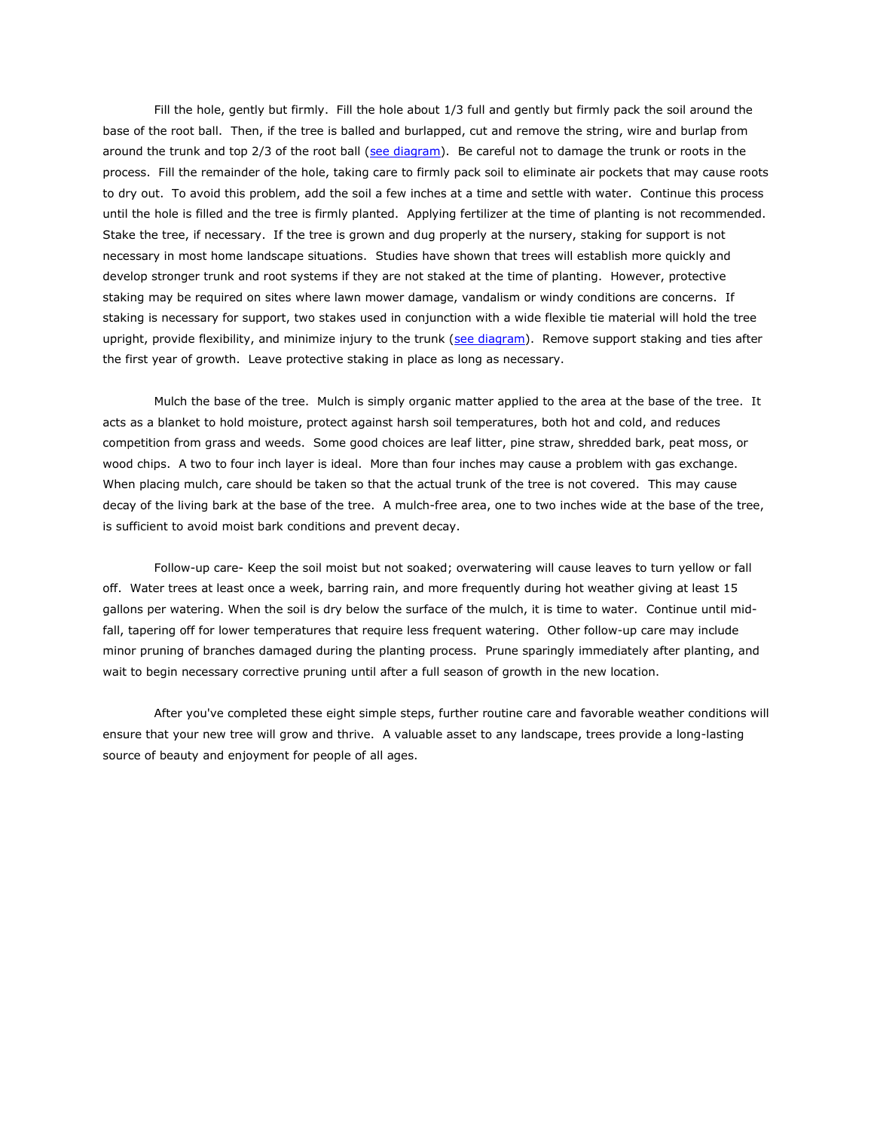Fill the hole, gently but firmly. Fill the hole about 1/3 full and gently but firmly pack the soil around the base of the root ball. Then, if the tree is balled and burlapped, cut and remove the string, wire and burlap from around the trunk and top 2/3 of the root ball [\(see diagram\)](http://durhamnc.gov/ich/op/gs/PublishingImages/Planting.jpg). Be careful not to damage the trunk or roots in the process. Fill the remainder of the hole, taking care to firmly pack soil to eliminate air pockets that may cause roots to dry out. To avoid this problem, add the soil a few inches at a time and settle with water. Continue this process until the hole is filled and the tree is firmly planted. Applying fertilizer at the time of planting is not recommended. Stake the tree, if necessary. If the tree is grown and dug properly at the nursery, staking for support is not necessary in most home landscape situations. Studies have shown that trees will establish more quickly and develop stronger trunk and root systems if they are not staked at the time of planting. However, protective staking may be required on sites where lawn mower damage, vandalism or windy conditions are concerns. If staking is necessary for support, two stakes used in conjunction with a wide flexible tie material will hold the tree upright, provide flexibility, and minimize injury to the trunk [\(see diagram\)](http://durhamnc.gov/ich/op/gs/PublishingImages/Planting.jpg). Remove support staking and ties after the first year of growth. Leave protective staking in place as long as necessary.

Mulch the base of the tree. Mulch is simply organic matter applied to the area at the base of the tree. It acts as a blanket to hold moisture, protect against harsh soil temperatures, both hot and cold, and reduces competition from grass and weeds. Some good choices are leaf litter, pine straw, shredded bark, peat moss, or wood chips. A two to four inch layer is ideal. More than four inches may cause a problem with gas exchange. When placing mulch, care should be taken so that the actual trunk of the tree is not covered. This may cause decay of the living bark at the base of the tree. A mulch-free area, one to two inches wide at the base of the tree, is sufficient to avoid moist bark conditions and prevent decay.

Follow-up care- Keep the soil moist but not soaked; overwatering will cause leaves to turn yellow or fall off. Water trees at least once a week, barring rain, and more frequently during hot weather giving at least 15 gallons per watering. When the soil is dry below the surface of the mulch, it is time to water. Continue until midfall, tapering off for lower temperatures that require less frequent watering. Other follow-up care may include minor pruning of branches damaged during the planting process. Prune sparingly immediately after planting, and wait to begin necessary corrective pruning until after a full season of growth in the new location.

After you've completed these eight simple steps, further routine care and favorable weather conditions will ensure that your new tree will grow and thrive. A valuable asset to any landscape, trees provide a long-lasting source of beauty and enjoyment for people of all ages.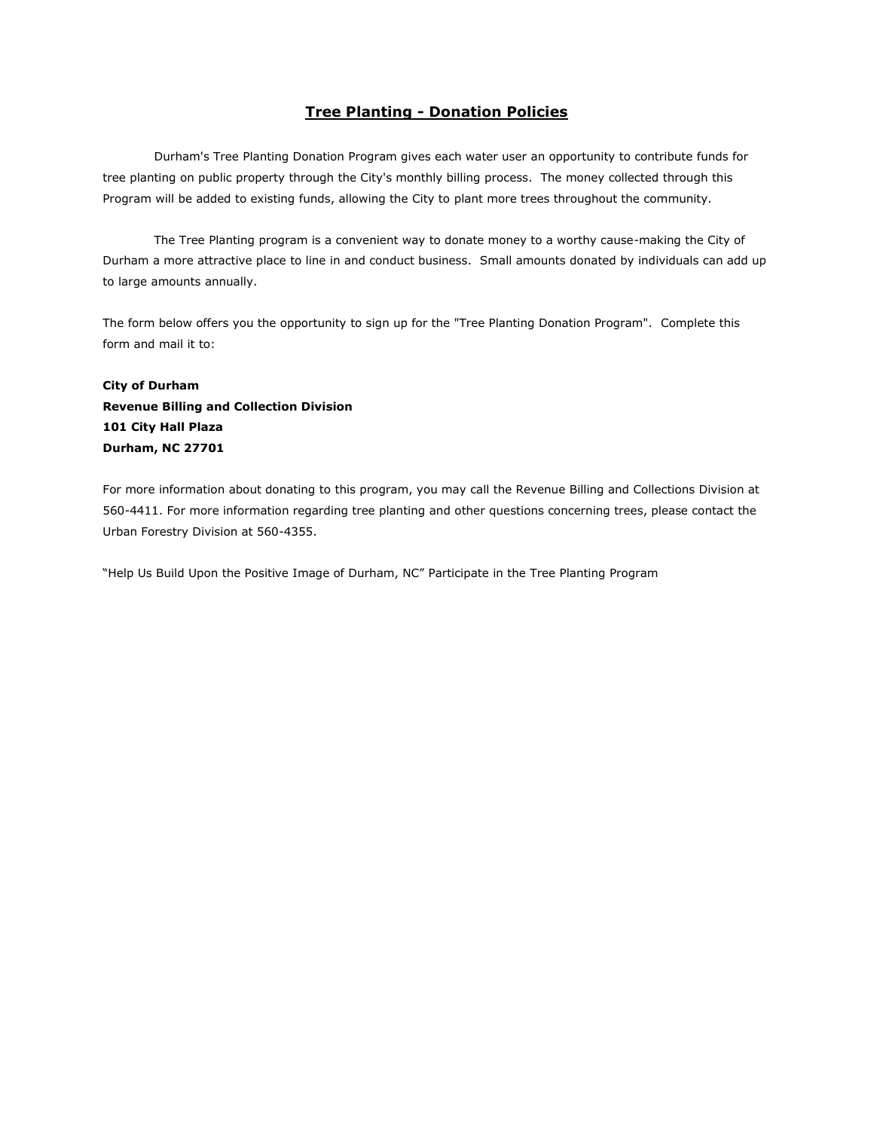# **Tree Planting - Donation Policies**

Durham's Tree Planting Donation Program gives each water user an opportunity to contribute funds for tree planting on public property through the City's monthly billing process. The money collected through this Program will be added to existing funds, allowing the City to plant more trees throughout the community.

The Tree Planting program is a convenient way to donate money to a worthy cause-making the City of Durham a more attractive place to line in and conduct business. Small amounts donated by individuals can add up to large amounts annually.

The form below offers you the opportunity to sign up for the "Tree Planting Donation Program". Complete this form and mail it to:

# **City of Durham Revenue Billing and Collection Division 101 City Hall Plaza Durham, NC 27701**

For more information about donating to this program, you may call the Revenue Billing and Collections Division at 560-4411. For more information regarding tree planting and other questions concerning trees, please contact the Urban Forestry Division at 560-4355.

"Help Us Build Upon the Positive Image of Durham, NC" Participate in the Tree Planting Program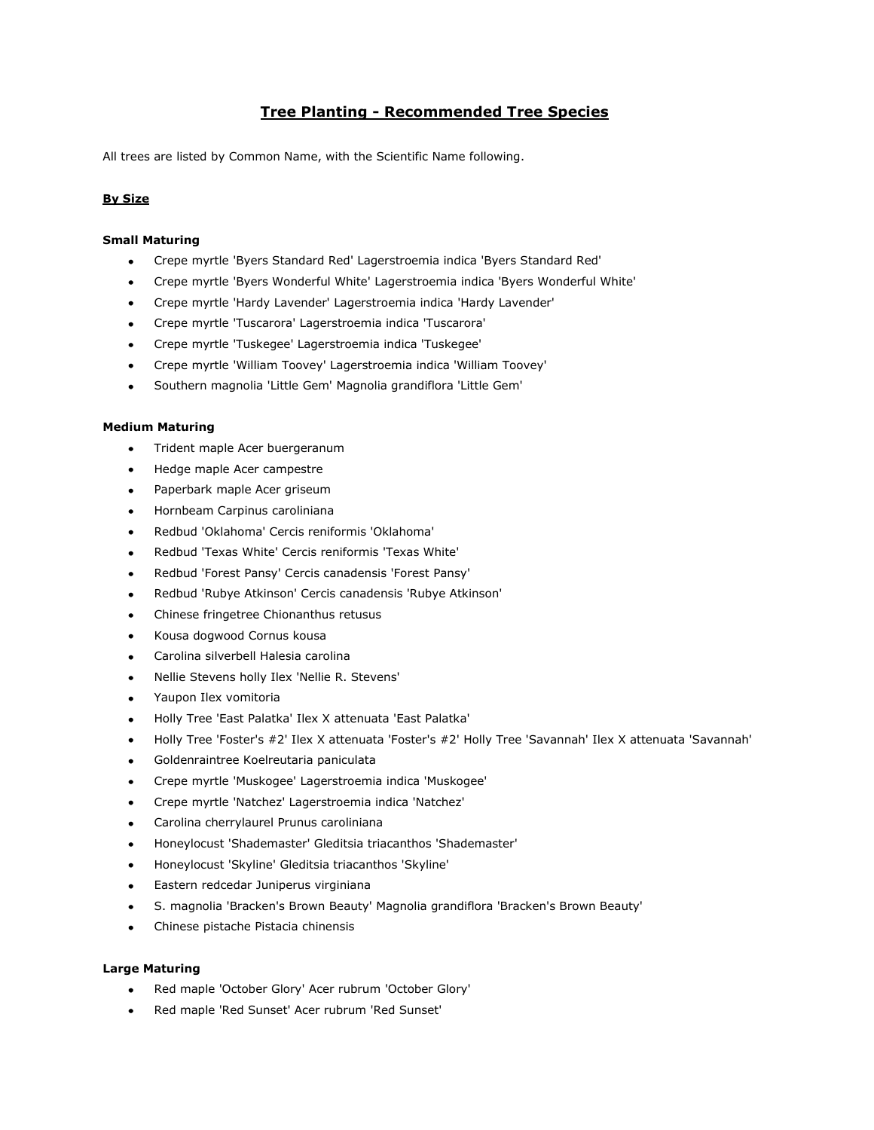# **Tree Planting - Recommended Tree Species**

All trees are listed by Common Name, with the Scientific Name following.

# **By Size**

# **Small Maturing**

- Crepe myrtle 'Byers Standard Red' Lagerstroemia indica 'Byers Standard Red'  $\bullet$
- Crepe myrtle 'Byers Wonderful White' Lagerstroemia indica 'Byers Wonderful White'  $\bullet$
- $\bullet$ Crepe myrtle 'Hardy Lavender' Lagerstroemia indica 'Hardy Lavender'
- Crepe myrtle 'Tuscarora' Lagerstroemia indica 'Tuscarora'
- Crepe myrtle 'Tuskegee' Lagerstroemia indica 'Tuskegee'
- Crepe myrtle 'William Toovey' Lagerstroemia indica 'William Toovey'  $\bullet$
- Southern magnolia 'Little Gem' Magnolia grandiflora 'Little Gem'  $\bullet$

# **Medium Maturing**

- Trident maple Acer buergeranum  $\bullet$
- Hedge maple Acer campestre  $\bullet$
- Paperbark maple Acer griseum
- Hornbeam Carpinus caroliniana
- Redbud 'Oklahoma' Cercis reniformis 'Oklahoma'
- Redbud 'Texas White' Cercis reniformis 'Texas White'  $\bullet$
- Redbud 'Forest Pansy' Cercis canadensis 'Forest Pansy'
- Redbud 'Rubye Atkinson' Cercis canadensis 'Rubye Atkinson'
- Chinese fringetree Chionanthus retusus  $\bullet$
- Kousa dogwood Cornus kousa
- Carolina silverbell Halesia carolina  $\bullet$
- Nellie Stevens holly Ilex 'Nellie R. Stevens'
- Yaupon Ilex vomitoria
- Holly Tree 'East Palatka' Ilex X attenuata 'East Palatka'
- Holly Tree 'Foster's #2' Ilex X attenuata 'Foster's #2' Holly Tree 'Savannah' Ilex X attenuata 'Savannah' ٠
- Goldenraintree Koelreutaria paniculata
- Crepe myrtle 'Muskogee' Lagerstroemia indica 'Muskogee'  $\bullet$
- Crepe myrtle 'Natchez' Lagerstroemia indica 'Natchez'
- Carolina cherrylaurel Prunus caroliniana  $\bullet$
- Honeylocust 'Shademaster' Gleditsia triacanthos 'Shademaster'
- Honeylocust 'Skyline' Gleditsia triacanthos 'Skyline'  $\bullet$
- Eastern redcedar Juniperus virginiana
- S. magnolia 'Bracken's Brown Beauty' Magnolia grandiflora 'Bracken's Brown Beauty'  $\bullet$
- Chinese pistache Pistacia chinensis  $\bullet$

### **Large Maturing**

- Red maple 'October Glory' Acer rubrum 'October Glory'  $\bullet$
- Red maple 'Red Sunset' Acer rubrum 'Red Sunset'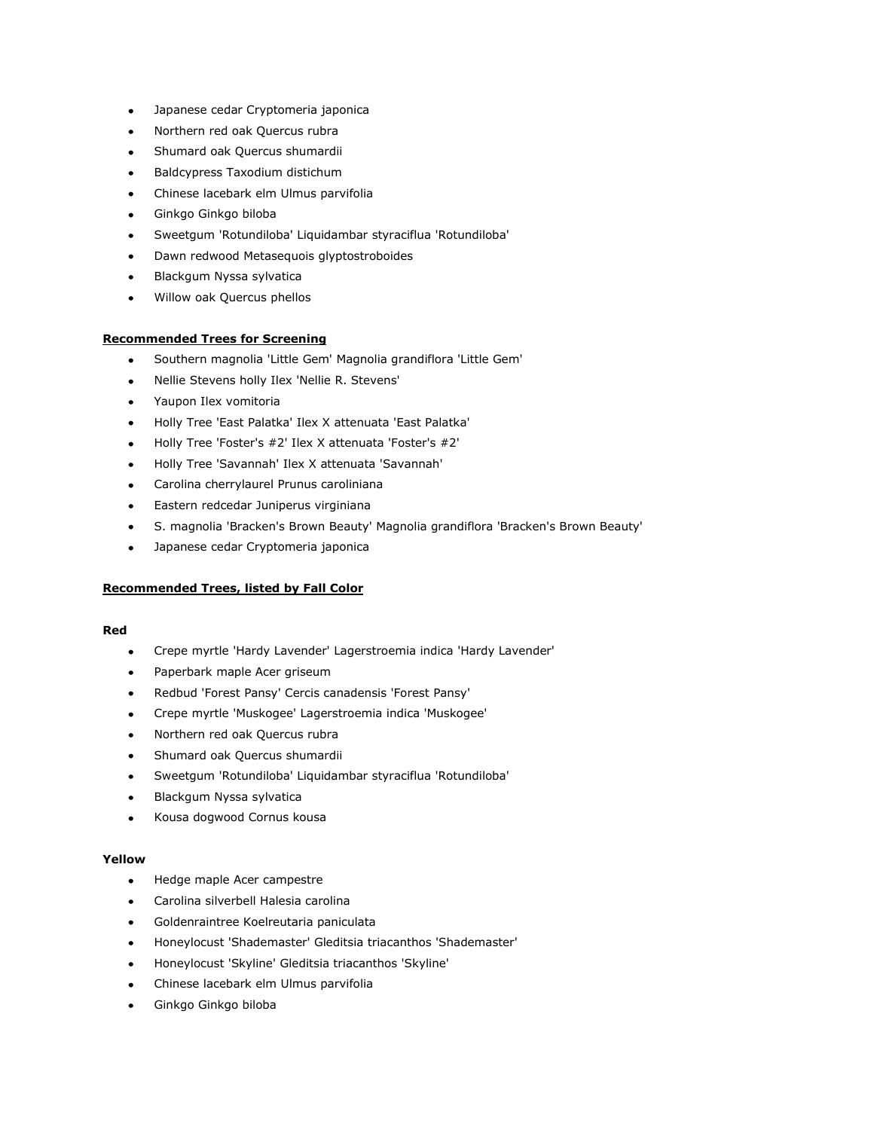- Japanese cedar Cryptomeria japonica  $\bullet$
- $\blacksquare$ Northern red oak Quercus rubra
- Shumard oak Quercus shumardii  $\bullet$
- Baldcypress Taxodium distichum
- Chinese lacebark elm Ulmus parvifolia  $\bullet$
- Ginkgo Ginkgo biloba
- Sweetgum 'Rotundiloba' Liquidambar styraciflua 'Rotundiloba'
- Dawn redwood Metasequois glyptostroboides
- Blackgum Nyssa sylvatica
- Willow oak Quercus phellos

# **Recommended Trees for Screening**

- $\bullet$ Southern magnolia 'Little Gem' Magnolia grandiflora 'Little Gem'
- Nellie Stevens holly Ilex 'Nellie R. Stevens'  $\bullet$
- Yaupon Ilex vomitoria  $\bullet$
- Holly Tree 'East Palatka' Ilex X attenuata 'East Palatka'
- Holly Tree 'Foster's #2' Ilex X attenuata 'Foster's #2'  $\bullet$
- Holly Tree 'Savannah' Ilex X attenuata 'Savannah'  $\bullet$
- Carolina cherrylaurel Prunus caroliniana  $\bullet$
- Eastern redcedar Juniperus virginiana  $\bullet$
- S. magnolia 'Bracken's Brown Beauty' Magnolia grandiflora 'Bracken's Brown Beauty'
- $\bullet$ Japanese cedar Cryptomeria japonica

# **Recommended Trees, listed by Fall Color**

### **Red**

- Crepe myrtle 'Hardy Lavender' Lagerstroemia indica 'Hardy Lavender'  $\blacksquare$
- Paperbark maple Acer griseum  $\bullet$
- Redbud 'Forest Pansy' Cercis canadensis 'Forest Pansy'
- Crepe myrtle 'Muskogee' Lagerstroemia indica 'Muskogee'  $\bullet$
- Northern red oak Quercus rubra
- Shumard oak Quercus shumardii  $\bullet$
- Sweetgum 'Rotundiloba' Liquidambar styraciflua 'Rotundiloba'
- $\bullet$ Blackgum Nyssa sylvatica
- Kousa dogwood Cornus kousa  $\bullet$

### **Yellow**

- Hedge maple Acer campestre  $\bullet$
- Carolina silverbell Halesia carolina
- Goldenraintree Koelreutaria paniculata  $\bullet$
- Honeylocust 'Shademaster' Gleditsia triacanthos 'Shademaster'
- Honeylocust 'Skyline' Gleditsia triacanthos 'Skyline'
- Chinese lacebark elm Ulmus parvifolia  $\bullet$
- Ginkgo Ginkgo biloba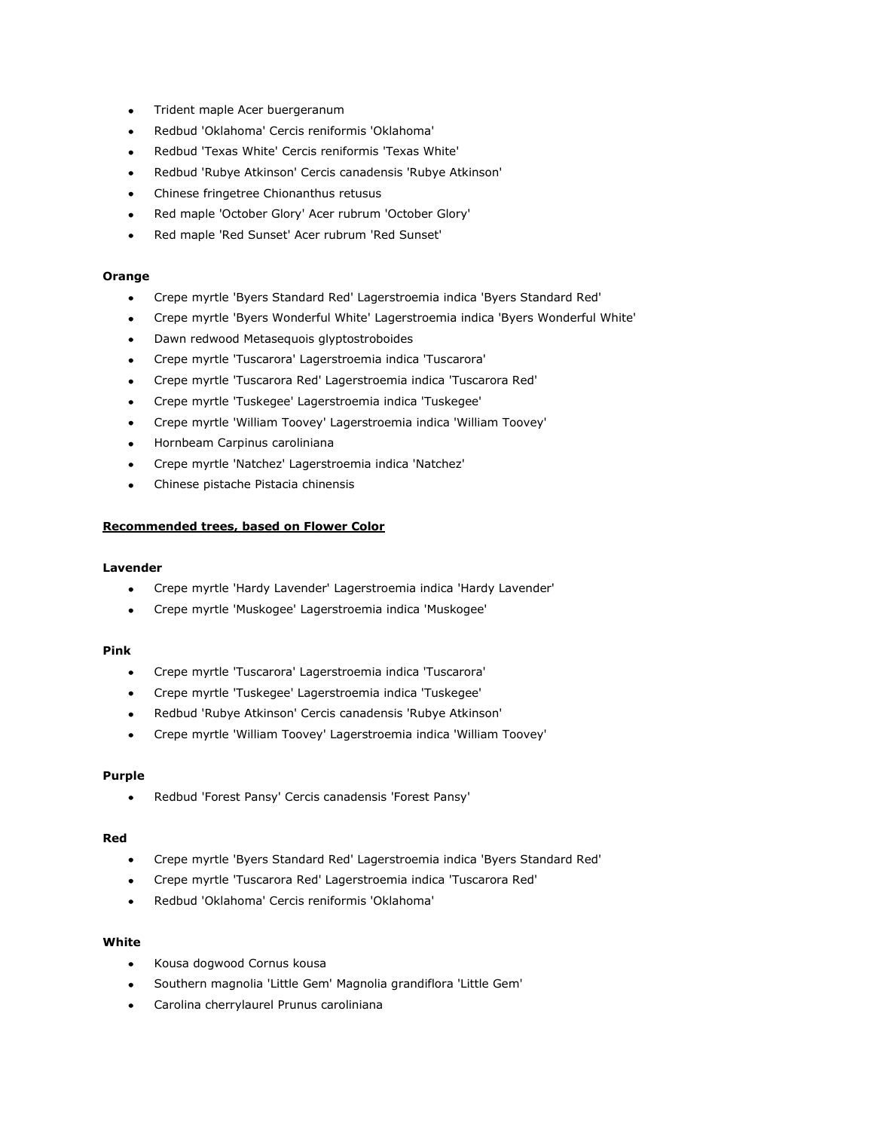- Trident maple Acer buergeranum  $\bullet$
- Redbud 'Oklahoma' Cercis reniformis 'Oklahoma'
- Redbud 'Texas White' Cercis reniformis 'Texas White'  $\bullet$
- Redbud 'Rubye Atkinson' Cercis canadensis 'Rubye Atkinson'
- Chinese fringetree Chionanthus retusus  $\bullet$
- Red maple 'October Glory' Acer rubrum 'October Glory'
- Red maple 'Red Sunset' Acer rubrum 'Red Sunset'

## **Orange**

- $\bullet$ Crepe myrtle 'Byers Standard Red' Lagerstroemia indica 'Byers Standard Red'
- Crepe myrtle 'Byers Wonderful White' Lagerstroemia indica 'Byers Wonderful White'  $\bullet$
- Dawn redwood Metasequois glyptostroboides
- Crepe myrtle 'Tuscarora' Lagerstroemia indica 'Tuscarora'  $\bullet$
- Crepe myrtle 'Tuscarora Red' Lagerstroemia indica 'Tuscarora Red'
- Crepe myrtle 'Tuskegee' Lagerstroemia indica 'Tuskegee'  $\bullet$
- Crepe myrtle 'William Toovey' Lagerstroemia indica 'William Toovey'  $\bullet$
- $\bullet$ Hornbeam Carpinus caroliniana
- Crepe myrtle 'Natchez' Lagerstroemia indica 'Natchez'
- Chinese pistache Pistacia chinensis

### **Recommended trees, based on Flower Color**

#### **Lavender**

- Crepe myrtle 'Hardy Lavender' Lagerstroemia indica 'Hardy Lavender'  $\bullet$
- $\bullet$ Crepe myrtle 'Muskogee' Lagerstroemia indica 'Muskogee'

### **Pink**

- Crepe myrtle 'Tuscarora' Lagerstroemia indica 'Tuscarora'  $\bullet$
- Crepe myrtle 'Tuskegee' Lagerstroemia indica 'Tuskegee'
- Redbud 'Rubye Atkinson' Cercis canadensis 'Rubye Atkinson'
- Crepe myrtle 'William Toovey' Lagerstroemia indica 'William Toovey'

#### **Purple**

 $\bullet$ Redbud 'Forest Pansy' Cercis canadensis 'Forest Pansy'

### **Red**

- Crepe myrtle 'Byers Standard Red' Lagerstroemia indica 'Byers Standard Red'  $\bullet$
- Crepe myrtle 'Tuscarora Red' Lagerstroemia indica 'Tuscarora Red'  $\bullet$
- Redbud 'Oklahoma' Cercis reniformis 'Oklahoma'

# **White**

- $\bullet$ Kousa dogwood Cornus kousa
- Southern magnolia 'Little Gem' Magnolia grandiflora 'Little Gem'  $\bullet$
- Carolina cherrylaurel Prunus caroliniana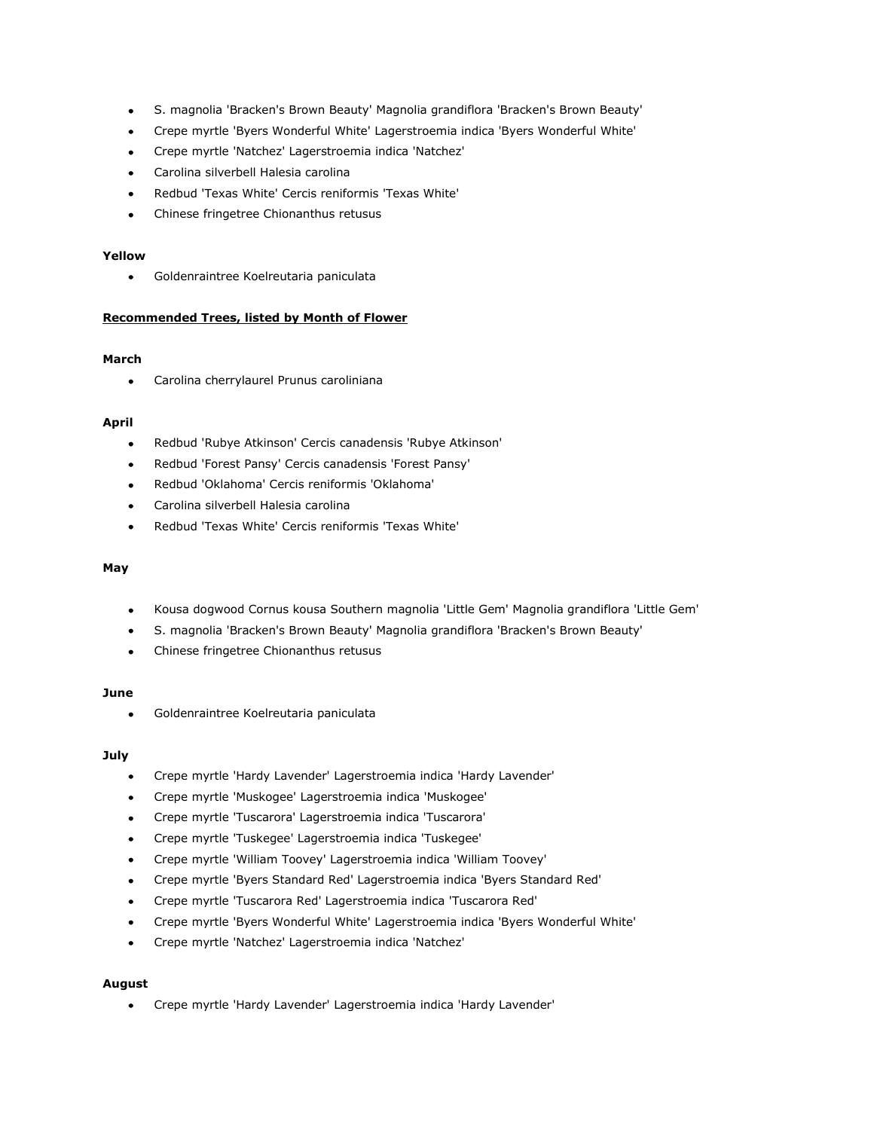- S. magnolia 'Bracken's Brown Beauty' Magnolia grandiflora 'Bracken's Brown Beauty'  $\bullet$
- Crepe myrtle 'Byers Wonderful White' Lagerstroemia indica 'Byers Wonderful White'  $\bullet$
- Crepe myrtle 'Natchez' Lagerstroemia indica 'Natchez'  $\bullet$
- Carolina silverbell Halesia carolina
- Redbud 'Texas White' Cercis reniformis 'Texas White'
- Chinese fringetree Chionanthus retusus  $\bullet$

# **Yellow**

Goldenraintree Koelreutaria paniculata  $\bullet$ 

# **Recommended Trees, listed by Month of Flower**

## **March**

Carolina cherrylaurel Prunus caroliniana  $\bullet$ 

## **April**

- Redbud 'Rubye Atkinson' Cercis canadensis 'Rubye Atkinson'
- Redbud 'Forest Pansy' Cercis canadensis 'Forest Pansy'
- Redbud 'Oklahoma' Cercis reniformis 'Oklahoma'
- Carolina silverbell Halesia carolina
- Redbud 'Texas White' Cercis reniformis 'Texas White'

# **May**

- Kousa dogwood Cornus kousa Southern magnolia 'Little Gem' Magnolia grandiflora 'Little Gem'
- S. magnolia 'Bracken's Brown Beauty' Magnolia grandiflora 'Bracken's Brown Beauty'  $\bullet$
- Chinese fringetree Chionanthus retusus

### **June**

Goldenraintree Koelreutaria paniculata  $\bullet$ 

# **July**

- $\bullet$ Crepe myrtle 'Hardy Lavender' Lagerstroemia indica 'Hardy Lavender'
- Crepe myrtle 'Muskogee' Lagerstroemia indica 'Muskogee'  $\bullet$
- Crepe myrtle 'Tuscarora' Lagerstroemia indica 'Tuscarora'  $\bullet$
- Crepe myrtle 'Tuskegee' Lagerstroemia indica 'Tuskegee'  $\bullet$
- Crepe myrtle 'William Toovey' Lagerstroemia indica 'William Toovey'  $\bullet$
- Crepe myrtle 'Byers Standard Red' Lagerstroemia indica 'Byers Standard Red'  $\bullet$
- Crepe myrtle 'Tuscarora Red' Lagerstroemia indica 'Tuscarora Red'
- Crepe myrtle 'Byers Wonderful White' Lagerstroemia indica 'Byers Wonderful White'  $\bullet$
- Crepe myrtle 'Natchez' Lagerstroemia indica 'Natchez'  $\bullet$

### **August**

Crepe myrtle 'Hardy Lavender' Lagerstroemia indica 'Hardy Lavender' $\bullet$